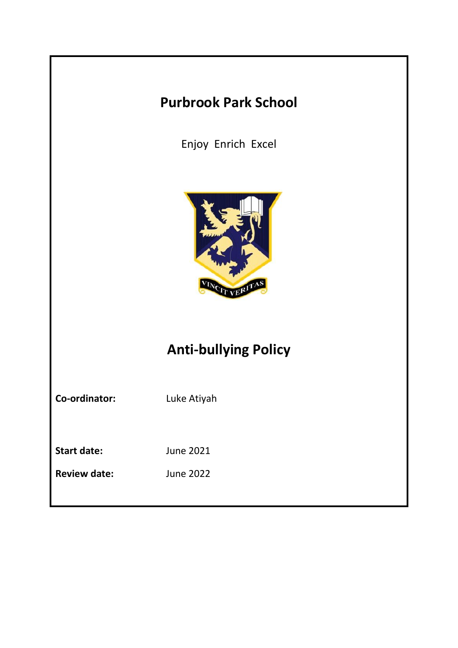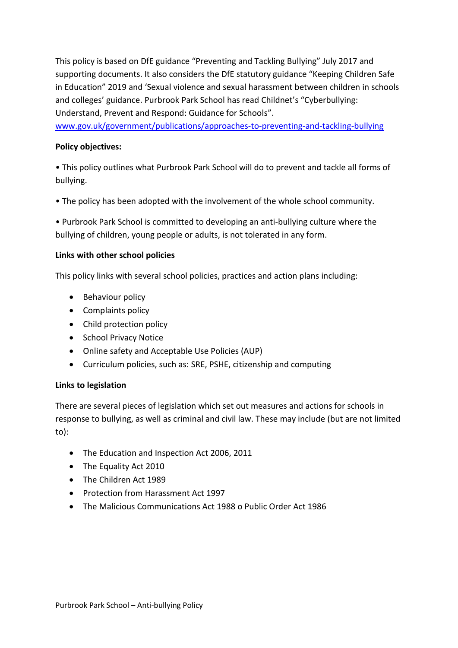This policy is based on DfE guidance "Preventing and Tackling Bullying" July 2017 and supporting documents. It also considers the DfE statutory guidance "Keeping Children Safe in Education" 2019 and 'Sexual violence and sexual harassment between children in schools and colleges' guidance. Purbrook Park School has read Childnet's "Cyberbullying: Understand, Prevent and Respond: Guidance for Schools".

[www.gov.uk/government/publications/approaches-to-preventing-and-tackling-bullying](http://www.gov.uk/government/publications/approaches-to-preventing-and-tackling-bullying)

# **Policy objectives:**

• This policy outlines what Purbrook Park School will do to prevent and tackle all forms of bullying.

• The policy has been adopted with the involvement of the whole school community.

• Purbrook Park School is committed to developing an anti-bullying culture where the bullying of children, young people or adults, is not tolerated in any form.

### **Links with other school policies**

This policy links with several school policies, practices and action plans including:

- Behaviour policy
- Complaints policy
- Child protection policy
- School Privacy Notice
- Online safety and Acceptable Use Policies (AUP)
- Curriculum policies, such as: SRE, PSHE, citizenship and computing

# **Links to legislation**

There are several pieces of legislation which set out measures and actions for schools in response to bullying, as well as criminal and civil law. These may include (but are not limited to):

- The Education and Inspection Act 2006, 2011
- The Equality Act 2010
- The Children Act 1989
- Protection from Harassment Act 1997
- The Malicious Communications Act 1988 o Public Order Act 1986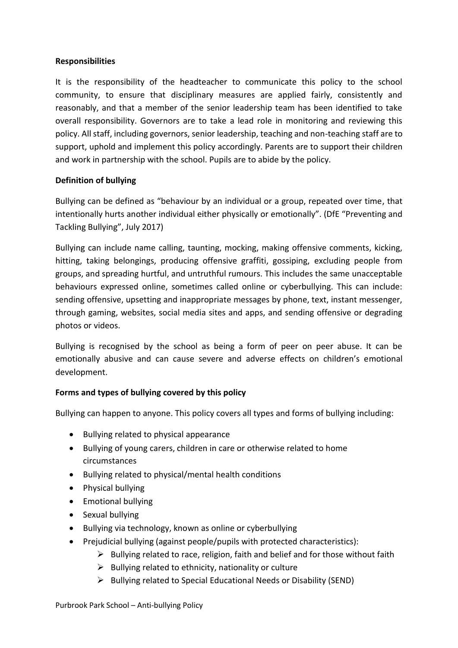### **Responsibilities**

It is the responsibility of the headteacher to communicate this policy to the school community, to ensure that disciplinary measures are applied fairly, consistently and reasonably, and that a member of the senior leadership team has been identified to take overall responsibility. Governors are to take a lead role in monitoring and reviewing this policy. All staff, including governors, senior leadership, teaching and non-teaching staff are to support, uphold and implement this policy accordingly. Parents are to support their children and work in partnership with the school. Pupils are to abide by the policy.

# **Definition of bullying**

Bullying can be defined as "behaviour by an individual or a group, repeated over time, that intentionally hurts another individual either physically or emotionally". (DfE "Preventing and Tackling Bullying", July 2017)

Bullying can include name calling, taunting, mocking, making offensive comments, kicking, hitting, taking belongings, producing offensive graffiti, gossiping, excluding people from groups, and spreading hurtful, and untruthful rumours. This includes the same unacceptable behaviours expressed online, sometimes called online or cyberbullying. This can include: sending offensive, upsetting and inappropriate messages by phone, text, instant messenger, through gaming, websites, social media sites and apps, and sending offensive or degrading photos or videos.

Bullying is recognised by the school as being a form of peer on peer abuse. It can be emotionally abusive and can cause severe and adverse effects on children's emotional development.

# **Forms and types of bullying covered by this policy**

Bullying can happen to anyone. This policy covers all types and forms of bullying including:

- Bullying related to physical appearance
- Bullying of young carers, children in care or otherwise related to home circumstances
- Bullying related to physical/mental health conditions
- Physical bullying
- Emotional bullying
- Sexual bullying
- Bullying via technology, known as online or cyberbullying
- Prejudicial bullying (against people/pupils with protected characteristics):
	- $\triangleright$  Bullying related to race, religion, faith and belief and for those without faith
	- $\triangleright$  Bullying related to ethnicity, nationality or culture
	- ➢ Bullying related to Special Educational Needs or Disability (SEND)

Purbrook Park School – Anti-bullying Policy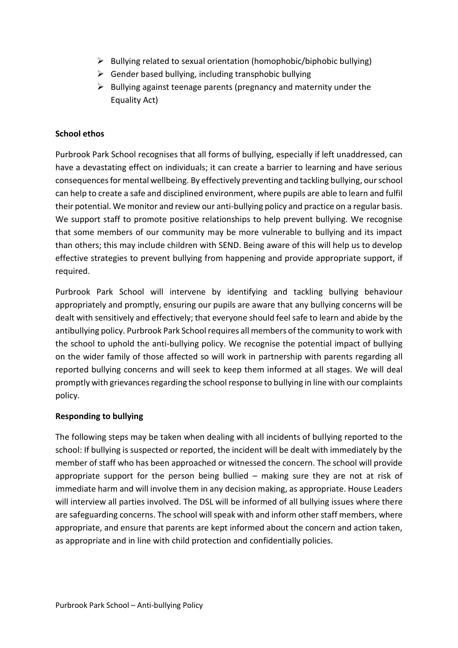- ➢ Bullying related to sexual orientation (homophobic/biphobic bullying)
- $\triangleright$  Gender based bullying, including transphobic bullying
- $\triangleright$  Bullying against teenage parents (pregnancy and maternity under the Equality Act)

# **School ethos**

Purbrook Park School recognises that all forms of bullying, especially if left unaddressed, can have a devastating effect on individuals; it can create a barrier to learning and have serious consequences for mental wellbeing. By effectively preventing and tackling bullying, our school can help to create a safe and disciplined environment, where pupils are able to learn and fulfil their potential. We monitor and review our anti-bullying policy and practice on a regular basis. We support staff to promote positive relationships to help prevent bullying. We recognise that some members of our community may be more vulnerable to bullying and its impact than others; this may include children with SEND. Being aware of this will help us to develop effective strategies to prevent bullying from happening and provide appropriate support, if required.

Purbrook Park School will intervene by identifying and tackling bullying behaviour appropriately and promptly, ensuring our pupils are aware that any bullying concerns will be dealt with sensitively and effectively; that everyone should feel safe to learn and abide by the antibullying policy. Purbrook Park School requires all members of the community to work with the school to uphold the anti-bullying policy. We recognise the potential impact of bullying on the wider family of those affected so will work in partnership with parents regarding all reported bullying concerns and will seek to keep them informed at all stages. We will deal promptly with grievances regarding the school response to bullying in line with our complaints policy.

#### **Responding to bullying**

The following steps may be taken when dealing with all incidents of bullying reported to the school: If bullying is suspected or reported, the incident will be dealt with immediately by the member of staff who has been approached or witnessed the concern. The school will provide appropriate support for the person being bullied – making sure they are not at risk of immediate harm and will involve them in any decision making, as appropriate. House Leaders will interview all parties involved. The DSL will be informed of all bullying issues where there are safeguarding concerns. The school will speak with and inform other staff members, where appropriate, and ensure that parents are kept informed about the concern and action taken, as appropriate and in line with child protection and confidentially policies.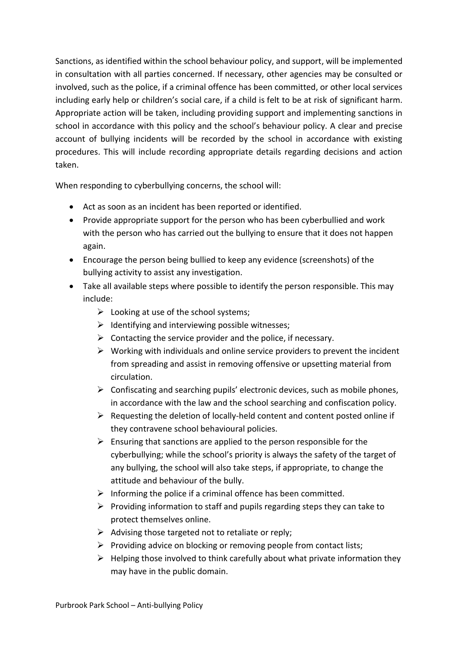Sanctions, as identified within the school behaviour policy, and support, will be implemented in consultation with all parties concerned. If necessary, other agencies may be consulted or involved, such as the police, if a criminal offence has been committed, or other local services including early help or children's social care, if a child is felt to be at risk of significant harm. Appropriate action will be taken, including providing support and implementing sanctions in school in accordance with this policy and the school's behaviour policy. A clear and precise account of bullying incidents will be recorded by the school in accordance with existing procedures. This will include recording appropriate details regarding decisions and action taken.

When responding to cyberbullying concerns, the school will:

- Act as soon as an incident has been reported or identified.
- Provide appropriate support for the person who has been cyberbullied and work with the person who has carried out the bullying to ensure that it does not happen again.
- Encourage the person being bullied to keep any evidence (screenshots) of the bullying activity to assist any investigation.
- Take all available steps where possible to identify the person responsible. This may include:
	- $\triangleright$  Looking at use of the school systems;
	- $\triangleright$  Identifying and interviewing possible witnesses:
	- $\triangleright$  Contacting the service provider and the police, if necessary.
	- $\triangleright$  Working with individuals and online service providers to prevent the incident from spreading and assist in removing offensive or upsetting material from circulation.
	- $\triangleright$  Confiscating and searching pupils' electronic devices, such as mobile phones, in accordance with the law and the school searching and confiscation policy.
	- $\triangleright$  Requesting the deletion of locally-held content and content posted online if they contravene school behavioural policies.
	- $\triangleright$  Ensuring that sanctions are applied to the person responsible for the cyberbullying; while the school's priority is always the safety of the target of any bullying, the school will also take steps, if appropriate, to change the attitude and behaviour of the bully.
	- $\triangleright$  Informing the police if a criminal offence has been committed.
	- ➢ Providing information to staff and pupils regarding steps they can take to protect themselves online.
	- $\triangleright$  Advising those targeted not to retaliate or reply;
	- ➢ Providing advice on blocking or removing people from contact lists;
	- $\triangleright$  Helping those involved to think carefully about what private information they may have in the public domain.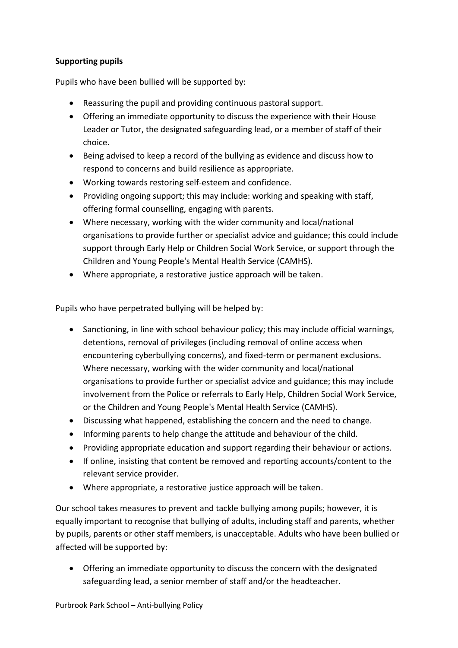# **Supporting pupils**

Pupils who have been bullied will be supported by:

- Reassuring the pupil and providing continuous pastoral support.
- Offering an immediate opportunity to discuss the experience with their House Leader or Tutor, the designated safeguarding lead, or a member of staff of their choice.
- Being advised to keep a record of the bullying as evidence and discuss how to respond to concerns and build resilience as appropriate.
- Working towards restoring self-esteem and confidence.
- Providing ongoing support; this may include: working and speaking with staff, offering formal counselling, engaging with parents.
- Where necessary, working with the wider community and local/national organisations to provide further or specialist advice and guidance; this could include support through Early Help or Children Social Work Service, or support through the Children and Young People's Mental Health Service (CAMHS).
- Where appropriate, a restorative justice approach will be taken.

Pupils who have perpetrated bullying will be helped by:

- Sanctioning, in line with school behaviour policy; this may include official warnings, detentions, removal of privileges (including removal of online access when encountering cyberbullying concerns), and fixed-term or permanent exclusions. Where necessary, working with the wider community and local/national organisations to provide further or specialist advice and guidance; this may include involvement from the Police or referrals to Early Help, Children Social Work Service, or the Children and Young People's Mental Health Service (CAMHS).
- Discussing what happened, establishing the concern and the need to change.
- Informing parents to help change the attitude and behaviour of the child.
- Providing appropriate education and support regarding their behaviour or actions.
- If online, insisting that content be removed and reporting accounts/content to the relevant service provider.
- Where appropriate, a restorative justice approach will be taken.

Our school takes measures to prevent and tackle bullying among pupils; however, it is equally important to recognise that bullying of adults, including staff and parents, whether by pupils, parents or other staff members, is unacceptable. Adults who have been bullied or affected will be supported by:

• Offering an immediate opportunity to discuss the concern with the designated safeguarding lead, a senior member of staff and/or the headteacher.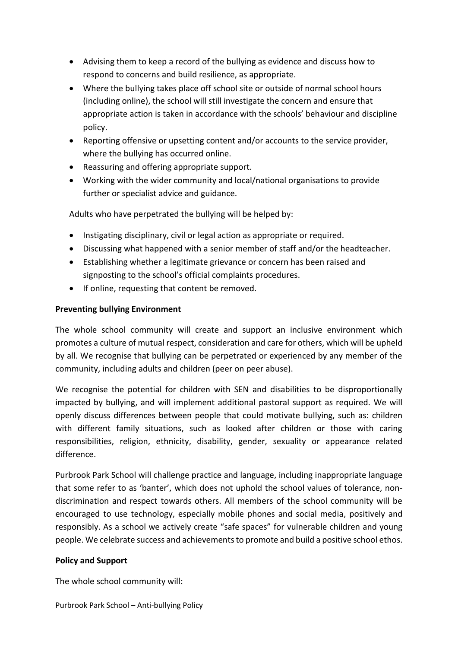- Advising them to keep a record of the bullying as evidence and discuss how to respond to concerns and build resilience, as appropriate.
- Where the bullying takes place off school site or outside of normal school hours (including online), the school will still investigate the concern and ensure that appropriate action is taken in accordance with the schools' behaviour and discipline policy.
- Reporting offensive or upsetting content and/or accounts to the service provider, where the bullying has occurred online.
- Reassuring and offering appropriate support.
- Working with the wider community and local/national organisations to provide further or specialist advice and guidance.

Adults who have perpetrated the bullying will be helped by:

- Instigating disciplinary, civil or legal action as appropriate or required.
- Discussing what happened with a senior member of staff and/or the headteacher.
- Establishing whether a legitimate grievance or concern has been raised and signposting to the school's official complaints procedures.
- If online, requesting that content be removed.

# **Preventing bullying Environment**

The whole school community will create and support an inclusive environment which promotes a culture of mutual respect, consideration and care for others, which will be upheld by all. We recognise that bullying can be perpetrated or experienced by any member of the community, including adults and children (peer on peer abuse).

We recognise the potential for children with SEN and disabilities to be disproportionally impacted by bullying, and will implement additional pastoral support as required. We will openly discuss differences between people that could motivate bullying, such as: children with different family situations, such as looked after children or those with caring responsibilities, religion, ethnicity, disability, gender, sexuality or appearance related difference.

Purbrook Park School will challenge practice and language, including inappropriate language that some refer to as 'banter', which does not uphold the school values of tolerance, nondiscrimination and respect towards others. All members of the school community will be encouraged to use technology, especially mobile phones and social media, positively and responsibly. As a school we actively create "safe spaces" for vulnerable children and young people. We celebrate success and achievements to promote and build a positive school ethos.

# **Policy and Support**

The whole school community will: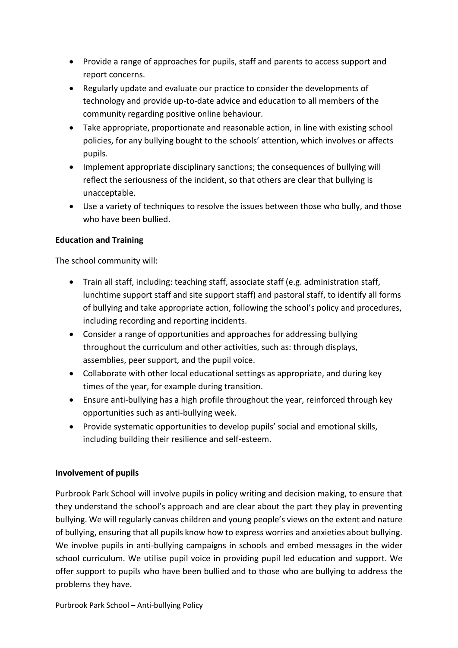- Provide a range of approaches for pupils, staff and parents to access support and report concerns.
- Regularly update and evaluate our practice to consider the developments of technology and provide up-to-date advice and education to all members of the community regarding positive online behaviour.
- Take appropriate, proportionate and reasonable action, in line with existing school policies, for any bullying bought to the schools' attention, which involves or affects pupils.
- Implement appropriate disciplinary sanctions; the consequences of bullying will reflect the seriousness of the incident, so that others are clear that bullying is unacceptable.
- Use a variety of techniques to resolve the issues between those who bully, and those who have been bullied.

# **Education and Training**

The school community will:

- Train all staff, including: teaching staff, associate staff (e.g. administration staff, lunchtime support staff and site support staff) and pastoral staff, to identify all forms of bullying and take appropriate action, following the school's policy and procedures, including recording and reporting incidents.
- Consider a range of opportunities and approaches for addressing bullying throughout the curriculum and other activities, such as: through displays, assemblies, peer support, and the pupil voice.
- Collaborate with other local educational settings as appropriate, and during key times of the year, for example during transition.
- Ensure anti-bullying has a high profile throughout the year, reinforced through key opportunities such as anti-bullying week.
- Provide systematic opportunities to develop pupils' social and emotional skills, including building their resilience and self-esteem.

# **Involvement of pupils**

Purbrook Park School will involve pupils in policy writing and decision making, to ensure that they understand the school's approach and are clear about the part they play in preventing bullying. We will regularly canvas children and young people's views on the extent and nature of bullying, ensuring that all pupils know how to express worries and anxieties about bullying. We involve pupils in anti-bullying campaigns in schools and embed messages in the wider school curriculum. We utilise pupil voice in providing pupil led education and support. We offer support to pupils who have been bullied and to those who are bullying to address the problems they have.

Purbrook Park School – Anti-bullying Policy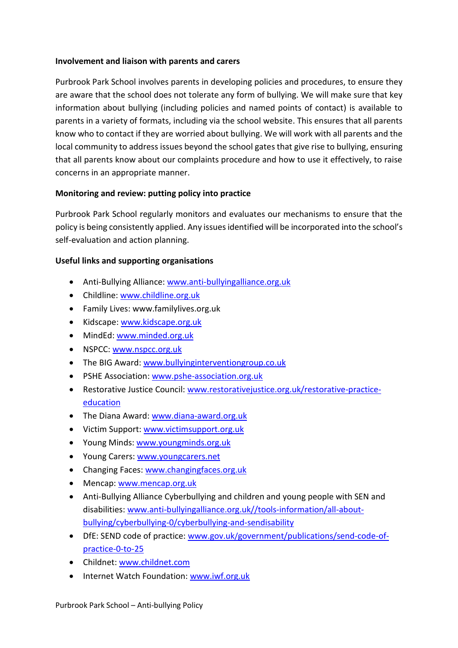### **Involvement and liaison with parents and carers**

Purbrook Park School involves parents in developing policies and procedures, to ensure they are aware that the school does not tolerate any form of bullying. We will make sure that key information about bullying (including policies and named points of contact) is available to parents in a variety of formats, including via the school website. This ensures that all parents know who to contact if they are worried about bullying. We will work with all parents and the local community to address issues beyond the school gates that give rise to bullying, ensuring that all parents know about our complaints procedure and how to use it effectively, to raise concerns in an appropriate manner.

# **Monitoring and review: putting policy into practice**

Purbrook Park School regularly monitors and evaluates our mechanisms to ensure that the policy is being consistently applied. Any issues identified will be incorporated into the school's self-evaluation and action planning.

### **Useful links and supporting organisations**

- Anti-Bullying Alliance: [www.anti-bullyingalliance.org.uk](http://www.anti-bullyingalliance.org.uk/)
- Childline: [www.childline.org.uk](http://www.childline.org.uk/)
- Family Lives: www.familylives.org.uk
- Kidscape: [www.kidscape.org.uk](http://www.kidscape.org.uk/)
- MindEd[: www.minded.org.uk](http://www.minded.org.uk/)
- NSPCC: [www.nspcc.org.uk](http://www.nspcc.org.uk/)
- The BIG Award: [www.bullyinginterventiongroup.co.uk](http://www.bullyinginterventiongroup.co.uk/index.php)
- PSHE Association: [www.pshe-association.org.uk](http://www.pshe-association.org.uk/)
- Restorative Justice Council: [www.restorativejustice.org.uk/restorative-practice](http://www.restorativejustice.org.uk/restorative-practice-education)[education](http://www.restorativejustice.org.uk/restorative-practice-education)
- The Diana Award: [www.diana-award.org.uk](http://www.diana-award.org.uk/)
- Victim Support: [www.victimsupport.org.uk](http://www.victimsupport.org.uk/)
- Young Minds: [www.youngminds.org.uk](http://www.youngminds.org.uk/)
- Young Carers: [www.youngcarers.net](http://www.youngcarers.net/)
- Changing Faces[: www.changingfaces.org.uk](http://www.changingfaces.org.uk/)
- Mencap: [www.mencap.org.uk](http://www.mencap.org.uk/)
- Anti-Bullying Alliance Cyberbullying and children and young people with SEN and disabilities: [www.anti-bullyingalliance.org.uk//](http://www.anti-bullyingalliance.org.uk/)tools-information/all-aboutbullying/cyberbullying-0/cyberbullying-and-sendisability
- DfE: SEND code of practice: www.gov.uk/[government/publications/send-code-of](http://www.gov.uk/government/publications/send-code-of-practice-0-to-25)[practice-0-to-25](http://www.gov.uk/government/publications/send-code-of-practice-0-to-25)
- Childnet[: www.childnet.com](http://www.childnet.com/)
- Internet Watch Foundation: [www.iwf.org.uk](http://www.iwf.org.uk/)